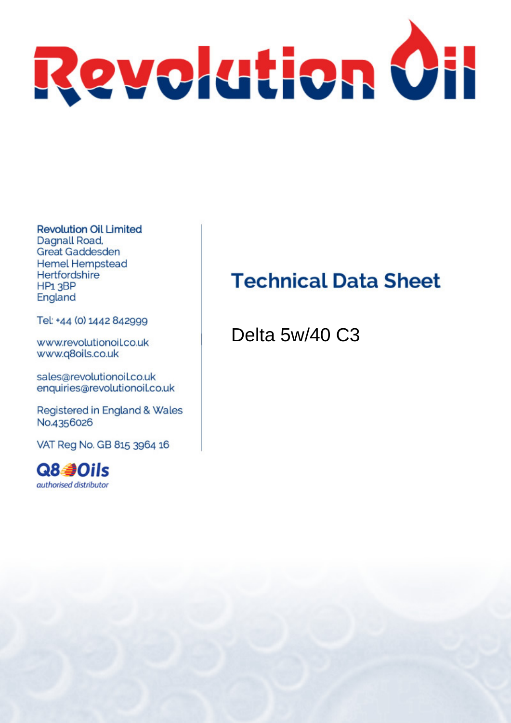

**Revolution Oil Limited** Dagnall Road. **Great Gaddesden Hemel Hempstead** Hertfordshire HP<sub>1</sub>3BP England

Tel: +44 (0) 1442 842999

www.revolutionoil.co.uk www.q8oils.co.uk

sales@revolutionoil.co.uk enquiries@revolutionoil.co.uk

Registered in England & Wales No.4356026

VAT Reg No. GB 815 3964 16



### **Technical Data Sheet**

Delta 5w/40 C3

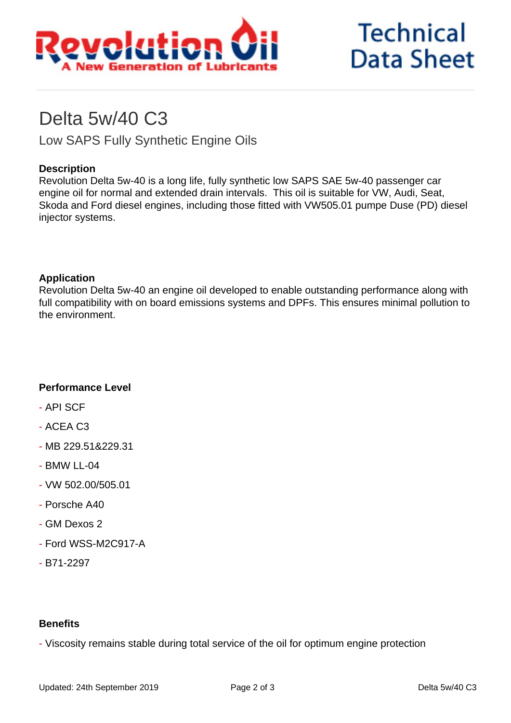

## **Technical Data Sheet**

### Delta 5w/40 C3

Low SAPS Fully Synthetic Engine Oils

#### **Description**

Revolution Delta 5w-40 is a long life, fully synthetic low SAPS SAE 5w-40 passenger car engine oil for normal and extended drain intervals. This oil is suitable for VW, Audi, Seat, Skoda and Ford diesel engines, including those fitted with VW505.01 pumpe Duse (PD) diesel injector systems.

#### **Application**

Revolution Delta 5w-40 an engine oil developed to enable outstanding performance along with full compatibility with on board emissions systems and DPFs. This ensures minimal pollution to the environment.

#### **Performance Level**

- API SCF
- ACEA C3
- MB 229.51&229.31
- BMW LL-04
- VW 502.00/505.01
- Porsche A40
- GM Dexos 2
- Ford WSS-M2C917-A
- B71-2297

#### **Benefits**

- Viscosity remains stable during total service of the oil for optimum engine protection